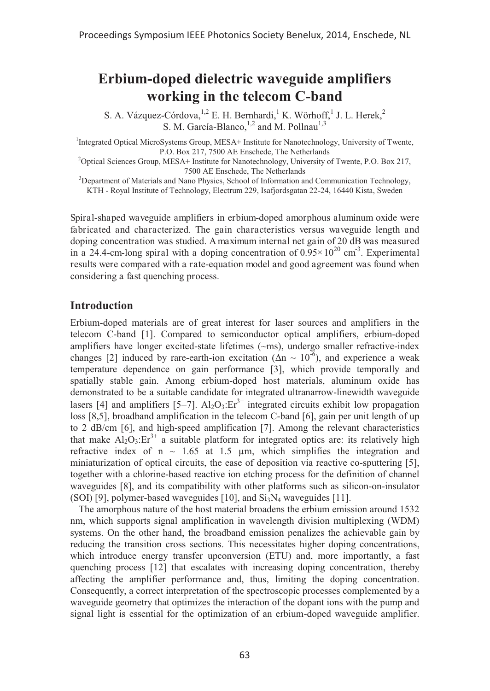# **Erbium-doped dielectric waveguide amplifiers working in the telecom C-band**

S. A. Vázquez-Córdova, <sup>1,2</sup> E. H. Bernhardi, <sup>1</sup> K. Wörhoff, <sup>1</sup> J. L. Herek, <sup>2</sup> S. M. García-Blanco,  $^{1,2}$  and M. Pollnau<sup>1,3</sup>

<sup>1</sup>Integrated Optical MicroSystems Group, MESA+ Institute for Nanotechnology, University of Twente,

P.O. Box 217, 7500 AE Enschede, The Netherlands 2 Optical Sciences Group, MESA+ Institute for Nanotechnology, University of Twente, P.O. Box 217,

<sup>3</sup>Department of Materials and Nano Physics, School of Information and Communication Technology, KTH - Royal Institute of Technology, Electrum 229, Isafjordsgatan 22-24, 16440 Kista, Sweden

Spiral-shaped waveguide amplifiers in erbium-doped amorphous aluminum oxide were fabricated and characterized. The gain characteristics versus waveguide length and doping concentration was studied. A maximum internal net gain of 20 dB was measured in a 24.4-cm-long spiral with a doping concentration of  $0.95 \times 10^{20}$  cm<sup>-3</sup>. Experimental results were compared with a rate-equation model and good agreement was found when considering a fast quenching process.

## **Introduction**

Erbium-doped materials are of great interest for laser sources and amplifiers in the telecom C-band [1]. Compared to semiconductor optical amplifiers, erbium-doped amplifiers have longer excited-state lifetimes (~ms), undergo smaller refractive-index changes [2] induced by rare-earth-ion excitation ( $\Delta n \sim 10^{-6}$ ), and experience a weak temperature dependence on gain performance [3], which provide temporally and spatially stable gain. Among erbium-doped host materials, aluminum oxide has demonstrated to be a suitable candidate for integrated ultranarrow-linewidth waveguide lasers [4] and amplifiers [5-7]. Al<sub>2</sub>O<sub>3</sub>:Er<sup>3+</sup> integrated circuits exhibit low propagation loss [8,5], broadband amplification in the telecom C-band [6], gain per unit length of up to 2 dB/cm [6], and high-speed amplification [7]. Among the relevant characteristics that make  $A_1O_3$ : $Er^{3+}$  a suitable platform for integrated optics are: its relatively high refractive index of  $n \sim 1.65$  at 1.5  $\mu$ m, which simplifies the integration and miniaturization of optical circuits, the ease of deposition via reactive co-sputtering [5], together with a chlorine-based reactive ion etching process for the definition of channel waveguides [8], and its compatibility with other platforms such as silicon-on-insulator (SOI) [9], polymer-based waveguides [10], and  $Si<sub>3</sub>N<sub>4</sub>$  waveguides [11].

The amorphous nature of the host material broadens the erbium emission around 1532 nm, which supports signal amplification in wavelength division multiplexing (WDM) systems. On the other hand, the broadband emission penalizes the achievable gain by reducing the transition cross sections. This necessitates higher doping concentrations, which introduce energy transfer upconversion (ETU) and, more importantly, a fast quenching process [12] that escalates with increasing doping concentration, thereby affecting the amplifier performance and, thus, limiting the doping concentration. Consequently, a correct interpretation of the spectroscopic processes complemented by a waveguide geometry that optimizes the interaction of the dopant ions with the pump and signal light is essential for the optimization of an erbium-doped waveguide amplifier.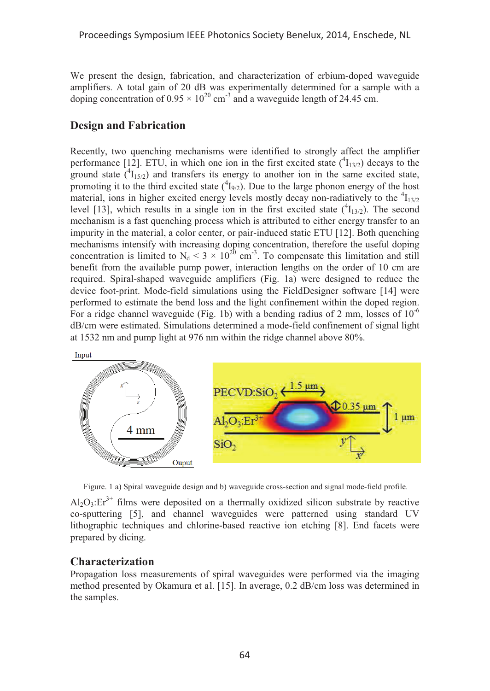We present the design, fabrication, and characterization of erbium-doped waveguide amplifiers. A total gain of 20 dB was experimentally determined for a sample with a doping concentration of  $0.95 \times 10^{20}$  cm<sup>-3</sup> and a waveguide length of 24.45 cm.

## **Design and Fabrication**

Recently, two quenching mechanisms were identified to strongly affect the amplifier performance [12]. ETU, in which one ion in the first excited state  $(^{4}I_{13/2})$  decays to the ground state  $({}^{4}I_{15/2})$  and transfers its energy to another ion in the same excited state, promoting it to the third excited state  $(^{4}I_{9/2})$ . Due to the large phonon energy of the host material, ions in higher excited energy levels mostly decay non-radiatively to the  ${}^{4}I_{13/2}$ level [13], which results in a single ion in the first excited state  $(^4I_{13/2})$ . The second mechanism is a fast quenching process which is attributed to either energy transfer to an impurity in the material, a color center, or pair-induced static ETU [12]. Both quenching mechanisms intensify with increasing doping concentration, therefore the useful doping concentration is limited to  $N_d < 3 \times 10^{20}$  cm<sup>-3</sup>. To compensate this limitation and still benefit from the available pump power, interaction lengths on the order of 10 cm are required. Spiral-shaped waveguide amplifiers (Fig. 1a) were designed to reduce the device foot-print. Mode-field simulations using the FieldDesigner software [14] were performed to estimate the bend loss and the light confinement within the doped region. For a ridge channel waveguide (Fig. 1b) with a bending radius of 2 mm, losses of  $10^{-6}$ dB/cm were estimated. Simulations determined a mode-field confinement of signal light at 1532 nm and pump light at 976 nm within the ridge channel above 80%.



Figure. 1 a) Spiral waveguide design and b) waveguide cross-section and signal mode-field profile.

 $A1_2O_3$ : Er<sup>3+</sup> films were deposited on a thermally oxidized silicon substrate by reactive co-sputtering [5], and channel waveguides were patterned using standard UV lithographic techniques and chlorine-based reactive ion etching [8]. End facets were prepared by dicing.

## **Characterization**

Propagation loss measurements of spiral waveguides were performed via the imaging method presented by Okamura et al. [15]. In average, 0.2 dB/cm loss was determined in the samples.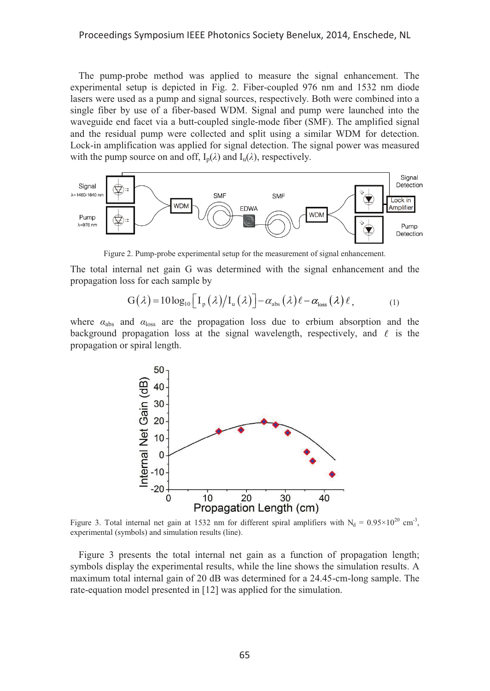#### Proceedings Symposium IEEE Photonics Society Benelux, 2014, Enschede, NL

The pump-probe method was applied to measure the signal enhancement. The experimental setup is depicted in Fig. 2. Fiber-coupled 976 nm and 1532 nm diode lasers were used as a pump and signal sources, respectively. Both were combined into a single fiber by use of a fiber-based WDM. Signal and pump were launched into the waveguide end facet via a butt-coupled single-mode fiber (SMF). The amplified signal and the residual pump were collected and split using a similar WDM for detection. Lock-in amplification was applied for signal detection. The signal power was measured with the pump source on and off,  $I_n(\lambda)$  and  $I_n(\lambda)$ , respectively.



Figure 2. Pump-probe experimental setup for the measurement of signal enhancement.

The total internal net gain G was determined with the signal enhancement and the propagation loss for each sample by

$$
G(\lambda) = 10 \log_{10} \left[ I_{p}(\lambda) / I_{u}(\lambda) \right] - \alpha_{\text{abs}}(\lambda) \ell - \alpha_{\text{loss}}(\lambda) \ell, \qquad (1)
$$

where  $\alpha_{\text{abs}}$  and  $\alpha_{\text{loss}}$  are the propagation loss due to erbium absorption and the background propagation loss at the signal wavelength, respectively, and  $\ell$  is the propagation or spiral length.



Figure 3. Total internal net gain at 1532 nm for different spiral amplifiers with  $N_d = 0.95 \times 10^{20}$  cm<sup>-3</sup>, experimental (symbols) and simulation results (line).

Figure 3 presents the total internal net gain as a function of propagation length; symbols display the experimental results, while the line shows the simulation results. A maximum total internal gain of 20 dB was determined for a 24.45-cm-long sample. The rate-equation model presented in [12] was applied for the simulation.